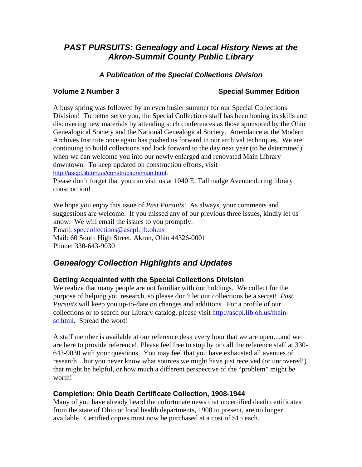# *PAST PURSUITS: Genealogy and Local History News at the Akron-Summit County Public Library*

# *A Publication of the Special Collections Division*

## **Volume 2 Number 3 Number 3 Number 3 Number 2 Number 3 Number 2 Number 3 Number 2 Number 3 Number 2 Number 2 Number 2 Number 2 Number 2 Number 2 Number 2 Number 2 Number 2 Number 2 Number 2 Number 2 Number 2 Number 2 Numbe**

A busy spring was followed by an even busier summer for our Special Collections Division! To better serve you, the Special Collections staff has been honing its skills and discovering new materials by attending such conferences as those sponsored by the Ohio Genealogical Society and the National Genealogical Society. Attendance at the Modern Archives Institute once again has pushed us forward in our archival techniques. We are continuing to build collections and look forward to the day next year (to be determined) when we can welcome you into our newly enlarged and renovated Main Library downtown. To keep updated on construction efforts, visit <http://ascpl.lib.oh.us/construction/main.html>.

Please don't forget that you can visit us at 1040 E. Tallmadge Avenue during library construction!

We hope you enjoy this issue of *Past Pursuits*! As always, your comments and suggestions are welcome. If you missed any of our previous three issues, kindly let us know. We will email the issues to you promptly.

Email: speccollections@ascpl.lib.oh.us

Mail: 60 South High Street, Akron, Ohio 44326-0001 Phone: 330-643-9030

# *Genealogy Collection Highlights and Updates*

# **Getting Acquainted with the Special Collections Division**

We realize that many people are not familiar with our holdings. We collect for the purpose of helping you research, so please don't let our collections be a secret! *Past Pursuits* will keep you up-to-date on changes and additions. For a profile of our collections or to search our Library catalog, please visit http://ascpl.lib.oh.us/mainsc.html. Spread the word!

A staff member is available at our reference desk every hour that we are open…and we are here to provide reference! Please feel free to stop by or call the reference staff at 330- 643-9030 with your questions. You may feel that you have exhausted all avenues of research…but you never know what sources we might have just received (or uncovered!) that might be helpful, or how much a different perspective of the "problem" might be worth!

## **Completion: Ohio Death Certificate Collection, 1908-1944**

Many of you have already heard the unfortunate news that uncertified death certificates from the state of Ohio or local health departments, 1908 to present, are no longer available. Certified copies must now be purchased at a cost of \$15 each.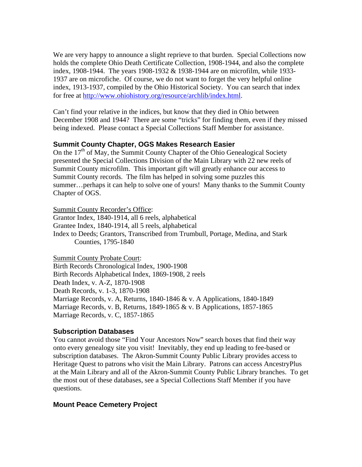We are very happy to announce a slight reprieve to that burden. Special Collections now holds the complete Ohio Death Certificate Collection, 1908-1944, and also the complete index, 1908-1944. The years 1908-1932 & 1938-1944 are on microfilm, while 1933- 1937 are on microfiche. Of course, we do not want to forget the very helpful online index, 1913-1937, compiled by the Ohio Historical Society. You can search that index for free at<http://www.ohiohistory.org/resource/archlib/index.html>.

Can't find your relative in the indices, but know that they died in Ohio between December 1908 and 1944? There are some "tricks" for finding them, even if they missed being indexed. Please contact a Special Collections Staff Member for assistance.

### **Summit County Chapter, OGS Makes Research Easier**

On the  $17<sup>th</sup>$  of May, the Summit County Chapter of the Ohio Genealogical Society presented the Special Collections Division of the Main Library with 22 new reels of Summit County microfilm. This important gift will greatly enhance our access to Summit County records. The film has helped in solving some puzzles this summer…perhaps it can help to solve one of yours! Many thanks to the Summit County Chapter of OGS.

Summit County Recorder's Office:

Grantor Index, 1840-1914, all 6 reels, alphabetical Grantee Index, 1840-1914, all 5 reels, alphabetical Index to Deeds; Grantors, Transcribed from Trumbull, Portage, Medina, and Stark Counties, 1795-1840

Summit County Probate Court: Birth Records Chronological Index, 1900-1908 Birth Records Alphabetical Index, 1869-1908, 2 reels Death Index, v. A-Z, 1870-1908 Death Records, v. 1-3, 1870-1908 Marriage Records, v. A, Returns, 1840-1846 & v. A Applications, 1840-1849 Marriage Records, v. B, Returns, 1849-1865 & v. B Applications, 1857-1865 Marriage Records, v. C, 1857-1865

### **Subscription Databases**

You cannot avoid those "Find Your Ancestors Now" search boxes that find their way onto every genealogy site you visit! Inevitably, they end up leading to fee-based or subscription databases. The Akron-Summit County Public Library provides access to Heritage Quest to patrons who visit the Main Library. Patrons can access AncestryPlus at the Main Library and all of the Akron-Summit County Public Library branches. To get the most out of these databases, see a Special Collections Staff Member if you have questions.

### **Mount Peace Cemetery Project**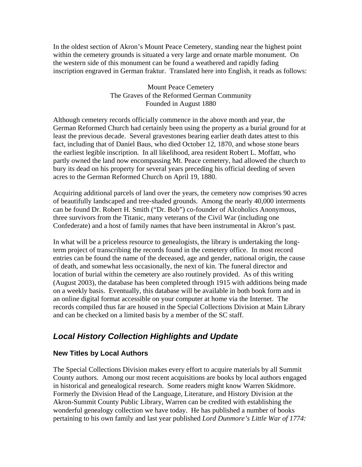In the oldest section of Akron's Mount Peace Cemetery, standing near the highest point within the cemetery grounds is situated a very large and ornate marble monument. On the western side of this monument can be found a weathered and rapidly fading inscription engraved in German fraktur. Translated here into English, it reads as follows:

### Mount Peace Cemetery The Graves of the Reformed German Community Founded in August 1880

Although cemetery records officially commence in the above month and year, the German Reformed Church had certainly been using the property as a burial ground for at least the previous decade. Several gravestones bearing earlier death dates attest to this fact, including that of Daniel Baus, who died October 12, 1870, and whose stone bears the earliest legible inscription. In all likelihood, area resident Robert L. Moffatt, who partly owned the land now encompassing Mt. Peace cemetery, had allowed the church to bury its dead on his property for several years preceding his official deeding of seven acres to the German Reformed Church on April 19, 1880.

Acquiring additional parcels of land over the years, the cemetery now comprises 90 acres of beautifully landscaped and tree-shaded grounds. Among the nearly 40,000 interments can be found Dr. Robert H. Smith ("Dr. Bob") co-founder of Alcoholics Anonymous, three survivors from the Titanic, many veterans of the Civil War (including one Confederate) and a host of family names that have been instrumental in Akron's past.

In what will be a priceless resource to genealogists, the library is undertaking the longterm project of transcribing the records found in the cemetery office. In most record entries can be found the name of the deceased, age and gender, national origin, the cause of death, and somewhat less occasionally, the next of kin. The funeral director and location of burial within the cemetery are also routinely provided. As of this writing (August 2003), the database has been completed through 1915 with additions being made on a weekly basis. Eventually, this database will be available in both book form and in an online digital format accessible on your computer at home via the Internet. The records compiled thus far are housed in the Special Collections Division at Main Library and can be checked on a limited basis by a member of the SC staff.

# *Local History Collection Highlights and Update*

# **New Titles by Local Authors**

The Special Collections Division makes every effort to acquire materials by all Summit County authors. Among our most recent acquisitions are books by local authors engaged in historical and genealogical research. Some readers might know Warren Skidmore. Formerly the Division Head of the Language, Literature, and History Division at the Akron-Summit County Public Library, Warren can be credited with establishing the wonderful genealogy collection we have today. He has published a number of books pertaining to his own family and last year published *Lord Dunmore's Little War of 1774:*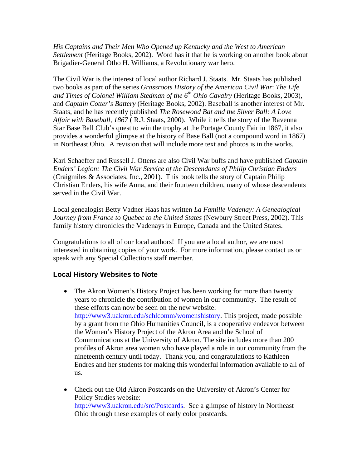*His Captains and Their Men Who Opened up Kentucky and the West to American Settlement* (Heritage Books, 2002).Word has it that he is working on another book about Brigadier-General Otho H. Williams, a Revolutionary war hero.

The Civil War is the interest of local author Richard J. Staats. Mr. Staats has published two books as part of the series *Grassroots History of the American Civil War*: *The Life and Times of Colonel William Stedman of the 6th Ohio Cavalry* (Heritage Books, 2003), and *Captain Cotter's Battery* (Heritage Books, 2002). Baseball is another interest of Mr. Staats, and he has recently published *The Rosewood Bat and the Silver Ball: A Love Affair with Baseball, 1867* ( R.J. Staats, 2000). While it tells the story of the Ravenna Star Base Ball Club's quest to win the trophy at the Portage County Fair in 1867, it also provides a wonderful glimpse at the history of Base Ball (not a compound word in 1867) in Northeast Ohio. A revision that will include more text and photos is in the works.

Karl Schaeffer and Russell J. Ottens are also Civil War buffs and have published *Captain Enders' Legion: The Civil War Service of the Descendants of Philip Christian Enders*  (Craigmiles & Associates, Inc., 2001). This book tells the story of Captain Philip Christian Enders, his wife Anna, and their fourteen children, many of whose descendents served in the Civil War.

Local genealogist Betty Vadner Haas has written *La Famille Vadenay: A Genealogical Journey from France to Quebec to the United States (Newbury Street Press, 2002). This* family history chronicles the Vadenays in Europe, Canada and the United States.

Congratulations to all of our local authors! If you are a local author, we are most interested in obtaining copies of your work. For more information, please contact us or speak with any Special Collections staff member.

# **Local History Websites to Note**

- The Akron Women's History Project has been working for more than twenty years to chronicle the contribution of women in our community. The result of these efforts can now be seen on the new website: [http://www3.uakron.edu/schlcomm/womenshistory.](http://www3.uakron.edu/schlcomm/womenshistory) This project, made possible by a grant from the Ohio Humanities Council, is a cooperative endeavor between the Women's History Project of the Akron Area and the School of Communications at the University of Akron. The site includes more than 200 profiles of Akron area women who have played a role in our community from the nineteenth century until today. Thank you, and congratulations to Kathleen Endres and her students for making this wonderful information available to all of us.
- Check out the Old Akron Postcards on the University of Akron's Center for Policy Studies website: <http://www3.uakron.edu/src/Postcards>. See a glimpse of history in Northeast Ohio through these examples of early color postcards.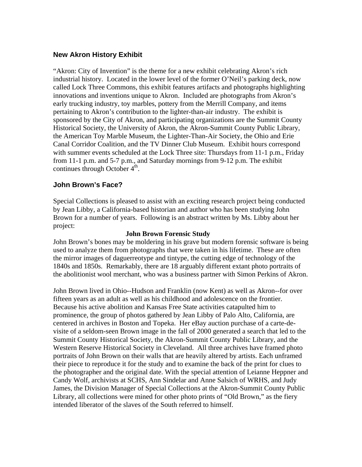# **New Akron History Exhibit**

"Akron: City of Invention" is the theme for a new exhibit celebrating Akron's rich industrial history. Located in the lower level of the former O'Neil's parking deck, now called Lock Three Commons, this exhibit features artifacts and photographs highlighting innovations and inventions unique to Akron. Included are photographs from Akron's early trucking industry, toy marbles, pottery from the Merrill Company, and items pertaining to Akron's contribution to the lighter-than-air industry. The exhibit is sponsored by the City of Akron, and participating organizations are the Summit County Historical Society, the University of Akron, the Akron-Summit County Public Library, the American Toy Marble Museum, the Lighter-Than-Air Society, the Ohio and Erie Canal Corridor Coalition, and the TV Dinner Club Museum. Exhibit hours correspond with summer events scheduled at the Lock Three site: Thursdays from 11-1 p.m., Friday from 11-1 p.m. and 5-7 p.m., and Saturday mornings from 9-12 p.m. The exhibit continues through October  $4<sup>th</sup>$ .

# **John Brown's Face?**

Special Collections is pleased to assist with an exciting research project being conducted by Jean Libby, a California-based historian and author who has been studying John Brown for a number of years. Following is an abstract written by Ms. Libby about her project:

### **John Brown Forensic Study**

John Brown's bones may be moldering in his grave but modern forensic software is being used to analyze them from photographs that were taken in his lifetime. These are often the mirror images of daguerreotype and tintype, the cutting edge of technology of the 1840s and 1850s. Remarkably, there are 18 arguably different extant photo portraits of the abolitionist wool merchant, who was a business partner with Simon Perkins of Akron.

John Brown lived in Ohio--Hudson and Franklin (now Kent) as well as Akron--for over fifteen years as an adult as well as his childhood and adolescence on the frontier. Because his active abolition and Kansas Free State activities catapulted him to prominence, the group of photos gathered by Jean Libby of Palo Alto, California, are centered in archives in Boston and Topeka. Her eBay auction purchase of a carte-devisite of a seldom-seen Brown image in the fall of 2000 generated a search that led to the Summit County Historical Society, the Akron-Summit County Public Library, and the Western Reserve Historical Society in Cleveland. All three archives have framed photo portraits of John Brown on their walls that are heavily altered by artists. Each unframed their piece to reproduce it for the study and to examine the back of the print for clues to the photographer and the original date. With the special attention of Leianne Heppner and Candy Wolf, archivists at SCHS, Ann Sindelar and Anne Salsich of WRHS, and Judy James, the Division Manager of Special Collections at the Akron-Summit County Public Library, all collections were mined for other photo prints of "Old Brown," as the fiery intended liberator of the slaves of the South referred to himself.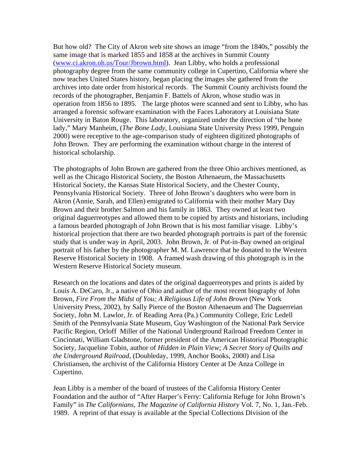But how old? The City of Akron web site shows an image "from the 1840s," possibly the same image that is marked 1855 and 1858 at the archives in Summit County ([www.ci.akron.oh.us/Tour/Jbrown.html\)](http://www.ci.akron.oh.us/Tour/Jbrown.html). Jean Libby, who holds a professional photography degree from the same community college in Cupertino, California where she now teaches United States history, began placing the images she gathered from the archives into date order from historical records. The Summit County archivists found the records of the photographer, Benjamin F. Battels of Akron, whose studio was in operation from 1856 to 1895. The large photos were scanned and sent to Libby, who has arranged a forensic software examination with the Faces Laboratory at Louisiana State University in Baton Rouge. This laboratory, organized under the direction of "the bone lady," Mary Manheim, (*The Bone Lady*, Louisiana State University Press 1999, Penguin 2000) were receptive to the age-comparison study of eighteen digitized photographs of John Brown. They are performing the examination without charge in the interest of historical scholarship.

The photographs of John Brown are gathered from the three Ohio archives mentioned, as well as the Chicago Historical Society, the Boston Athenaeum, the Massachusetts Historical Society, the Kansas State Historical Society, and the Chester County, Pennsylvania Historical Society. Three of John Brown's daughters who were born in Akron (Annie, Sarah, and Ellen) emigrated to California with their mother Mary Day Brown and their brother Salmon and his family in 1863. They owned at least two original daguerreotypes and allowed them to be copied by artists and historians, including a famous bearded photograph of John Brown that is his most familiar visage. Libby's historical projection that there are two bearded photograph portraits is part of the forensic study that is under way in April, 2003. John Brown, Jr. of Put-in-Bay owned an original portrait of his father by the photographer M. M. Lawrence that he donated to the Western Reserve Historical Society in 1908. A framed wash drawing of this photograph is in the Western Reserve Historical Society museum.

Research on the locations and dates of the original daguerreotypes and prints is aided by Louis A. DeCaro, Jr., a native of Ohio and author of the most recent biography of John Brown, *Fire From the Midst of You; A Religious Life of John Brown* (New York University Press, 2002), by Sally Pierce of the Boston Athenaeum and The Daguerreian Society, John M. Lawlor, Jr. of Reading Area (Pa.) Community College, Eric Ledell Smith of the Pennsylvania State Museum, Guy Washington of the National Park Service Pacific Region, Orloff Miller of the National Underground Railroad Freedom Center in Cincinnati, William Gladstone, former president of the American Historical Photographic Society, Jacqueline Tobin, author of *Hidden in Plain View; A Secret Story of Quilts and the Underground Railroad,* (Doubleday, 1999, Anchor Books, 2000) and Lisa Christiansen, the archivist of the California History Center at De Anza College in Cupertino.

Jean Libby is a member of the board of trustees of the California History Center Foundation and the author of "After Harper's Ferry: California Refuge for John Brown's Family" in *The Californians, The Magazine of California History* Vol. 7, No. 1, Jan.-Feb. 1989. A reprint of that essay is available at the Special Collections Division of the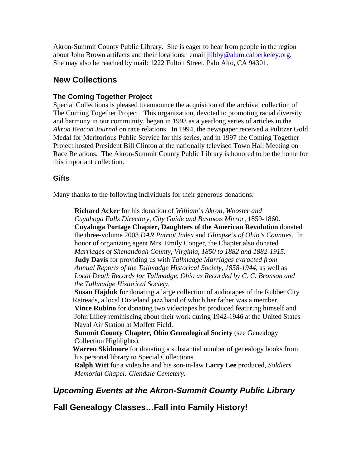Akron-Summit County Public Library. She is eager to hear from people in the region about John Brown artifacts and their locations: email [jlibby@alum.calberkeley.org.](mailto:jlibby@alum.calberkeley.org) She may also be reached by mail: 1222 Fulton Street, Palo Alto, CA 94301.

# **New Collections**

# **The Coming Together Project**

Special Collections is pleased to announce the acquisition of the archival collection of The Coming Together Project. This organization, devoted to promoting racial diversity and harmony in our community, began in 1993 as a yearlong series of articles in the *Akron Beacon Journal* on race relations. In 1994, the newspaper received a Pulitzer Gold Medal for Meritorious Public Service for this series, and in 1997 the Coming Together Project hosted President Bill Clinton at the nationally televised Town Hall Meeting on Race Relations. The Akron-Summit County Public Library is honored to be the home for this important collection.

## **Gifts**

Many thanks to the following individuals for their generous donations:

**Richard Acker** for his donation of *William's Akron, Wooster and Cuyahoga Falls Directory, City Guide and Business Mirror,* 1859-1860. **Cuyahoga Portage Chapter, Daughters of the American Revolution** donated the three-volume 2003 *DAR Patriot Index* and *Glimpse's of Ohio's Counties*. In honor of organizing agent Mrs. Emily Conger, the Chapter also donated *Marriages of Shenandoah County, Virginia, 1850 to 1882 and 1882-1915*. **Judy Davis** for providing us with *Tallmadge Marriages extracted from Annual Reports of the Tallmadge Historical Society, 1858-1944,* as well as *Local Death Records for Tallmadge, Ohio as Recorded by C. C. Bronson and the Tallmadge Historical Society.* 

**Susan Hajduk** for donating a large collection of audiotapes of the Rubber City Retreads, a local Dixieland jazz band of which her father was a member.

**Vince Rubino** for donating two videotapes he produced featuring himself and John Lilley reminiscing about their work during 1942-1946 at the United States Naval Air Station at Moffett Field.

**Summit County Chapter, Ohio Genealogical Society** (see Genealogy Collection Highlights).

 **Warren Skidmore** for donating a substantial number of genealogy books from his personal library to Special Collections.

**Ralph Witt** for a video he and his son-in-law **Larry Lee** produced, *Soldiers Memorial Chapel: Glendale Cemetery.*

# *Upcoming Events at the Akron-Summit County Public Library*

**Fall Genealogy Classes…Fall into Family History!**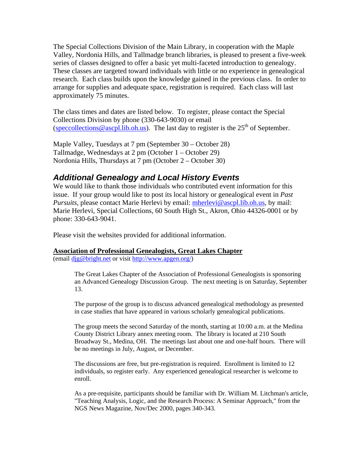The Special Collections Division of the Main Library, in cooperation with the Maple Valley, Nordonia Hills, and Tallmadge branch libraries, is pleased to present a five-week series of classes designed to offer a basic yet multi-faceted introduction to genealogy. These classes are targeted toward individuals with little or no experience in genealogical research. Each class builds upon the knowledge gained in the previous class. In order to arrange for supplies and adequate space, registration is required. Each class will last approximately 75 minutes.

The class times and dates are listed below. To register, please contact the Special Collections Division by phone (330-643-9030) or email ([speccollections@ascpl.lib.oh.us](mailto:speccollections@ascpl.lib.oh.us)). The last day to register is the  $25<sup>th</sup>$  of September.

Maple Valley, Tuesdays at 7 pm (September 30 – October 28) Tallmadge, Wednesdays at 2 pm (October 1 – October 29) Nordonia Hills, Thursdays at 7 pm (October 2 – October 30)

# *Additional Genealogy and Local History Events*

We would like to thank those individuals who contributed event information for this issue. If your group would like to post its local history or genealogical event in *Past Pursuits*, please contact Marie Herlevi by email: [mherlevi@ascpl.lib.oh.us,](mailto:mherlevi@ascpl.lib.oh.us) by mail: Marie Herlevi, Special Collections, 60 South High St., Akron, Ohio 44326-0001 or by phone: 330-643-9041.

Please visit the websites provided for additional information.

### **Association of Professional Genealogists, Great Lakes Chapter**

(email [djg@bright.net](mailto:djg@bright.net) or visit [http://www.apgen.org/\)](http://www.apgen.org/)

The Great Lakes Chapter of the Association of Professional Genealogists is sponsoring an Advanced Genealogy Discussion Group. The next meeting is on Saturday, September 13.

The purpose of the group is to discuss advanced genealogical methodology as presented in case studies that have appeared in various scholarly genealogical publications.

The group meets the second Saturday of the month, starting at 10:00 a.m. at the Medina County District Library annex meeting room. The library is located at 210 South Broadway St., Medina, OH. The meetings last about one and one-half hours. There will be no meetings in July, August, or December.

The discussions are free, but pre-registration is required. Enrollment is limited to 12 individuals, so register early. Any experienced genealogical researcher is welcome to enroll.

As a pre-requisite, participants should be familiar with Dr. William M. Litchman's article, "Teaching Analysis, Logic, and the Research Process: A Seminar Approach," from the NGS News Magazine, Nov/Dec 2000, pages 340-343.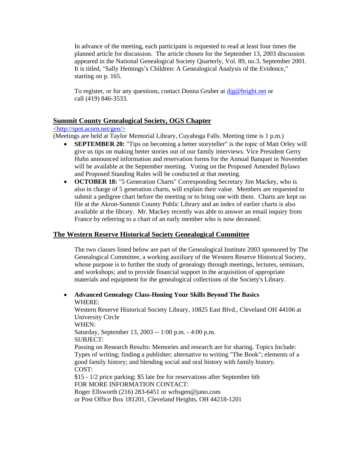In advance of the meeting, each participant is requested to read at least four times the planned article for discussion. The article chosen for the September 13, 2003 discussion appeared in the National Genealogical Society Quarterly, Vol. 89, no.3, September 2001. It is titled, "Sally Hemings's Children: A Genealogical Analysis of the Evidence," starting on p. 165.

To register, or for any questions, contact Donna Gruber at  $\text{dig@bright.net}$  or call (419) 846-3533.

### **Summit County Genealogical Society, OGS Chapter**

### <http://spot.acorn.net/gen/>

(Meetings are held at Taylor Memorial Library, Cuyahoga Falls. Meeting time is 1 p.m.)

- **SEPTEMBER 20:** "Tips on becoming a better storyteller" is the topic of Matt Orley will give us tips on making better stories out of our family interviews. Vice President Gerry Huhn announced information and reservation forms for the Annual Banquet in November will be available at the September meeting. Voting on the Proposed Amended Bylaws and Proposed Standing Rules will be conducted at that meeting.
- **OCTOBER 18:** "5 Generation Charts" Corresponding Secretary Jim Mackey, who is also in charge of 5 generation charts, will explain their value. Members are requested to submit a pedigree chart before the meeting or to bring one with them. Charts are kept on file at the Akron-Summit County Public Library and an index of earlier charts is also available at the library. Mr. Mackey recently was able to answer an email inquiry from France by referring to a chart of an early member who is now deceased.

### **The Western Reserve Historical Society Genealogical Committee**

The two classes listed below are part of the Genealogical Institute 2003 sponsored by The Genealogical Committee, a working auxiliary of the Western Reserve Historical Society, whose purpose is to further the study of genealogy through meetings, lectures, seminars, and workshops; and to provide financial support in the acquisition of appropriate materials and equipment for the genealogical collections of the Society's Library.

• **Advanced Genealogy Class-Honing Your Skills Beyond The Basics**  WHERE:

Western Reserve Historical Society Library, 10825 East Blvd., Cleveland OH 44106 at University Circle WHEN: Saturday, September 13, 2003 -- 1:00 p.m. - 4:00 p.m. SUBJECT:

Passing on Research Results: Memories and research are for sharing. Topics Include: Types of writing; finding a publisher; alternative to writing "The Book"; elements of a good family history; and blending social and oral history with family history. COST:

\$15 - 1/2 price parking; \$5 late fee for reservations after September 6th FOR MORE INFORMATION CONTACT: Roger Ellsworth (216) 283-6451 or wrhsgen@juno.com

or Post Office Box 181201, Cleveland Heights, OH 44218-1201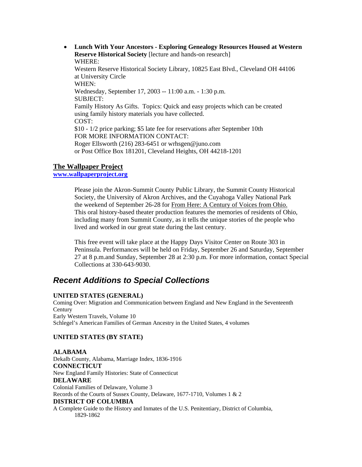• **Lunch With Your Ancestors - Exploring Genealogy Resources Housed at Western Reserve Historical Society** [lecture and hands-on research] WHERE: Western Reserve Historical Society Library, 10825 East Blvd., Cleveland OH 44106 at University Circle WHEN: Wednesday, September 17, 2003 -- 11:00 a.m. - 1:30 p.m. SUBJECT: Family History As Gifts. Topics: Quick and easy projects which can be created using family history materials you have collected. COST: \$10 - 1/2 price parking; \$5 late fee for reservations after September 10th FOR MORE INFORMATION CONTACT: Roger Ellsworth (216) 283-6451 or wrhsgen@juno.com or Post Office Box 181201, Cleveland Heights, OH 44218-1201

### **The Wallpaper Project**

#### **[www.wallpaperproject.org](http://www.wallpaperproject.org/)**

Please join the Akron-Summit County Public Library, the Summit County Historical Society, the University of Akron Archives, and the Cuyahoga Valley National Park the weekend of September 26-28 for From Here: A Century of Voices from Ohio. This oral history-based theater production features the memories of residents of Ohio, including many from Summit County, as it tells the unique stories of the people who lived and worked in our great state during the last century.

 This free event will take place at the Happy Days Visitor Center on Route 303 in Peninsula. Performances will be held on Friday, September 26 and Saturday, September 27 at 8 p.m.and Sunday, September 28 at 2:30 p.m. For more information, contact Special Collections at 330-643-9030.

# *Recent Additions to Special Collections*

### **UNITED STATES (GENERAL)**

Coming Over: Migration and Communication between England and New England in the Seventeenth **Century** Early Western Travels, Volume 10 Schlegel's American Families of German Ancestry in the United States, 4 volumes

### **UNITED STATES (BY STATE)**

**ALABAMA**  Dekalb County, Alabama, Marriage Index, 1836-1916 **CONNECTICUT**  New England Family Histories: State of Connecticut **DELAWARE**  Colonial Families of Delaware, Volume 3 Records of the Courts of Sussex County, Delaware, 1677-1710, Volumes 1 & 2 **DISTRICT OF COLUMBIA**  A Complete Guide to the History and Inmates of the U.S. Penitentiary, District of Columbia, 1829-1862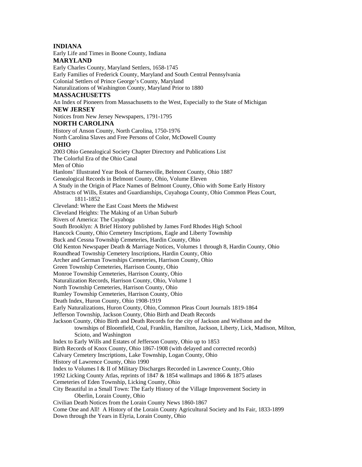#### **INDIANA**

Early Life and Times in Boone County, Indiana

#### **MARYLAND**

Early Charles County, Maryland Settlers, 1658-1745 Early Families of Frederick County, Maryland and South Central Pennsylvania Colonial Settlers of Prince George's County, Maryland Naturalizations of Washington County, Maryland Prior to 1880 **MASSACHUSETTS**  An Index of Pioneers from Massachusetts to the West, Especially to the State of Michigan **NEW JERSEY**  Notices from New Jersey Newspapers, 1791-1795 **NORTH CAROLINA**  History of Anson County, North Carolina, 1750-1976 North Carolina Slaves and Free Persons of Color, McDowell County **OHIO**  2003 Ohio Genealogical Society Chapter Directory and Publications List The Colorful Era of the Ohio Canal Men of Ohio Hanlons' Illustrated Year Book of Barnesville, Belmont County, Ohio 1887 Genealogical Records in Belmont County, Ohio, Volume Eleven A Study in the Origin of Place Names of Belmont County, Ohio with Some Early History Abstracts of Wills, Estates and Guardianships, Cuyahoga County, Ohio Common Pleas Court, 1811-1852 Cleveland: Where the East Coast Meets the Midwest Cleveland Heights: The Making of an Urban Suburb Rivers of America: The Cuyahoga South Brooklyn: A Brief History published by James Ford Rhodes High School Hancock County, Ohio Cemetery Inscriptions, Eagle and Liberty Township Buck and Cessna Township Cemeteries, Hardin County, Ohio Old Kenton Newspaper Death & Marriage Notices, Volumes 1 through 8, Hardin County, Ohio Roundhead Township Cemetery Inscriptions, Hardin County, Ohio Archer and German Townships Cemeteries, Harrison County, Ohio Green Township Cemeteries, Harrison County, Ohio Monroe Township Cemeteries, Harrison County, Ohio Naturalization Records, Harrison County, Ohio, Volume 1 North Township Cemeteries, Harrison County, Ohio Rumley Township Cemeteries, Harrison County, Ohio Death Index, Huron County, Ohio 1908-1919 Early Naturalizations, Huron County, Ohio, Common Pleas Court Journals 1819-1864 Jefferson Township, Jackson County, Ohio Birth and Death Records Jackson County, Ohio Birth and Death Records for the city of Jackson and Wellston and the townships of Bloomfield, Coal, Franklin, Hamilton, Jackson, Liberty, Lick, Madison, Milton, Scioto, and Washington Index to Early Wills and Estates of Jefferson County, Ohio up to 1853 Birth Records of Knox County, Ohio 1867-1908 (with delayed and corrected records) Calvary Cemetery Inscriptions, Lake Township, Logan County, Ohio History of Lawrence County, Ohio 1990 Index to Volumes I & II of Military Discharges Recorded in Lawrence County, Ohio 1992 Licking County Atlas, reprints of 1847 & 1854 wallmaps and 1866 & 1875 atlases Cemeteries of Eden Township, Licking County, Ohio City Beautiful in a Small Town: The Early History of the Village Improvement Society in Oberlin, Lorain County, Ohio Civilian Death Notices from the Lorain County News 1860-1867 Come One and All! A History of the Lorain County Agricultural Society and Its Fair, 1833-1899 Down through the Years in Elyria, Lorain County, Ohio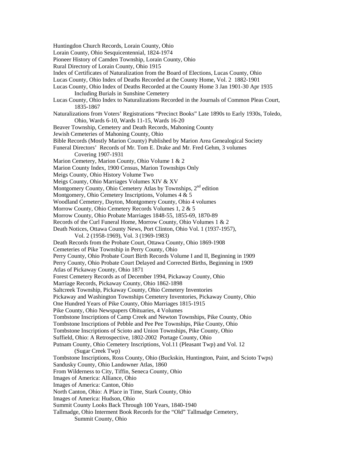Huntingdon Church Records, Lorain County, Ohio Lorain County, Ohio Sesquicentennial, 1824-1974 Pioneer History of Camden Township, Lorain County, Ohio Rural Directory of Lorain County, Ohio 1915 Index of Certificates of Naturalization from the Board of Elections, Lucas County, Ohio Lucas County, Ohio Index of Deaths Recorded at the County Home, Vol. 2 1882-1901 Lucas County, Ohio Index of Deaths Recorded at the County Home 3 Jan 1901-30 Apr 1935 Including Burials in Sunshine Cemetery Lucas County, Ohio Index to Naturalizations Recorded in the Journals of Common Pleas Court, 1835-1867 Naturalizations from Voters' Registrations "Precinct Books" Late 1890s to Early 1930s, Toledo, Ohio, Wards 6-10, Wards 11-15, Wards 16-20 Beaver Township, Cemetery and Death Records, Mahoning County Jewish Cemeteries of Mahoning County, Ohio Bible Records (Mostly Marion County) Published by Marion Area Genealogical Society Funeral Directors' Records of Mr. Tom E. Drake and Mr. Fred Gehm, 3 volumes Covering 1907-1931 Marion Cemetery, Marion County, Ohio Volume 1 & 2 Marion County Index, 1900 Census, Marion Townships Only Meigs County, Ohio History Volume Two Meigs County, Ohio Marriages Volumes XIV & XV Montgomery County, Ohio Cemetery Atlas by Townships, 2<sup>nd</sup> edition Montgomery, Ohio Cemetery Inscriptions, Volumes 4 & 5 Woodland Cemetery, Dayton, Montgomery County, Ohio 4 volumes Morrow County, Ohio Cemetery Records Volumes 1, 2 & 5 Morrow County, Ohio Probate Marriages 1848-55, 1855-69, 1870-89 Records of the Curl Funeral Home, Morrow County, Ohio Volumes 1 & 2 Death Notices, Ottawa County News, Port Clinton, Ohio Vol. 1 (1937-1957), Vol. 2 (1958-1969), Vol. 3 (1969-1983) Death Records from the Probate Court, Ottawa County, Ohio 1869-1908 Cemeteries of Pike Township in Perry County, Ohio Perry County, Ohio Probate Court Birth Records Volume I and II, Beginning in 1909 Perry County, Ohio Probate Court Delayed and Corrected Births, Beginning in 1909 Atlas of Pickaway County, Ohio 1871 Forest Cemetery Records as of December 1994, Pickaway County, Ohio Marriage Records, Pickaway County, Ohio 1862-1898 Saltcreek Township, Pickaway County, Ohio Cemetery Inventories Pickaway and Washington Townships Cemetery Inventories, Pickaway County, Ohio One Hundred Years of Pike County, Ohio Marriages 1815-1915 Pike County, Ohio Newspapers Obituaries, 4 Volumes Tombstone Inscriptions of Camp Creek and Newton Townships, Pike County, Ohio Tombstone Inscriptions of Pebble and Pee Pee Townships, Pike County, Ohio Tombstone Inscriptions of Scioto and Union Townships, Pike County, Ohio Suffield, Ohio: A Retrospective, 1802-2002 Portage County, Ohio Putnam County, Ohio Cemetery Inscriptions, Vol.11 (Pleasant Twp) and Vol. 12 (Sugar Creek Twp) Tombstone Inscriptions, Ross County, Ohio (Buckskin, Huntington, Paint, and Scioto Twps) Sandusky County, Ohio Landowner Atlas, 1860 From Wilderness to City, Tiffin, Seneca County, Ohio Images of America: Alliance, Ohio Images of America: Canton, Ohio North Canton, Ohio: A Place in Time, Stark County, Ohio Images of America: Hudson, Ohio Summit County Looks Back Through 100 Years, 1840-1940 Tallmadge, Ohio Interment Book Records for the "Old" Tallmadge Cemetery, Summit County, Ohio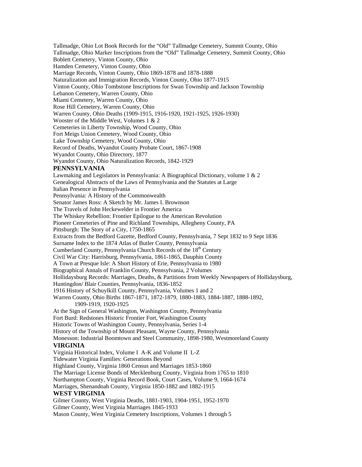Tallmadge, Ohio Lot Book Records for the "Old" Tallmadge Cemetery, Summit County, Ohio Tallmadge, Ohio Marker Inscriptions from the "Old" Tallmadge Cemetery, Summit County, Ohio Boblett Cemetery, Vinton County, Ohio Hamden Cemetery, Vinton County, Ohio Marriage Records, Vinton County, Ohio 1869-1878 and 1878-1888 Naturalization and Immigration Records, Vinton County, Ohio 1877-1915 Vinton County, Ohio Tombstone Inscriptions for Swan Township and Jackson Township Lebanon Cemetery, Warren County, Ohio Miami Cemetery, Warren County, Ohio Rose Hill Cemetery, Warren County, Ohio Warren County, Ohio Deaths (1909-1915, 1916-1920, 1921-1925, 1926-1930) Wooster of the Middle West, Volumes 1 & 2 Cemeteries in Liberty Township, Wood County, Ohio Fort Meigs Union Cemetery, Wood County, Ohio Lake Township Cemetery, Wood County, Ohio Record of Deaths, Wyandot County Probate Court, 1867-1908 Wyandot County, Ohio Directory, 1877 Wyandot County, Ohio Naturalization Records, 1842-1929 **PENNSYLVANIA**  Lawmaking and Legislators in Pennsylvania: A Biographical Dictionary, volume 1 & 2 Genealogical Abstracts of the Laws of Pennsylvania and the Statutes at Large Italian Presence in Pennsylvania Pennsylvania: A History of the Commonwealth Senator James Ross: A Sketch by Mr. James I. Brownson The Travels of John Heckewelder in Frontier America The Whiskey Rebellion: Frontier Epilogue to the American Revolution Pioneer Cemeteries of Pine and Richland Townships, Allegheny County, PA Pittsburgh: The Story of a City, 1750-1865 Extracts from the Bedford Gazette, Bedford County, Pennsylvania, 7 Sept 1832 to 9 Sept 1836 Surname Index to the 1874 Atlas of Butler County, Pennsylvania Cumberland County, Pennsylvania Church Records of the 18<sup>th</sup> Century Civil War City: Harrisburg, Pennsylvania, 1861-1865, Dauphin County A Town at Presque Isle: A Short History of Erie, Pennsylvania to 1980 Biographical Annals of Franklin County, Pennsylvania, 2 Volumes Hollidaysburg Records: Marriages, Deaths, & Partitions from Weekly Newspapers of Hollidaysburg, Huntingdon/ Blair Counties, Pennsylvania, 1836-1852 1916 History of Schuylkill County, Pennsylvania, Volumes 1 and 2 Warren County, Ohio Births 1867-1871, 1872-1879, 1880-1883, 1884-1887, 1888-1892, 1909-1919, 1920-1925 At the Sign of General Washington, Washington County, Pennsylvania Fort Burd: Redstones Historic Frontier Fort, Washington County Historic Towns of Washington County, Pennsylvania, Series 1-4 History of the Township of Mount Pleasant, Wayne County, Pennsylvania Monesson: Industrial Boomtown and Steel Community, 1898-1980, Westmoreland County **VIRGINIA**  Virginia Historical Index, Volume I A-K and Volume II L-Z Tidewater Virginia Families: Generations Beyond Highland County, Virginia 1860 Census and Marriages 1853-1860 The Marriage License Bonds of Mecklenburg County, Virginia from 1765 to 1810 Northampton County, Virginia Record Book, Court Cases, Volume 9, 1664-1674 Marriages, Shenandoah County, Virginia 1850-1882 and 1882-1915 **WEST VIRGINIA**  Gilmer County, West Virginia Deaths, 1881-1903, 1904-1951, 1952-1970 Gilmer County, West Virginia Marriages 1845-1933 Mason County, West Virginia Cemetery Inscriptions, Volumes 1 through 5